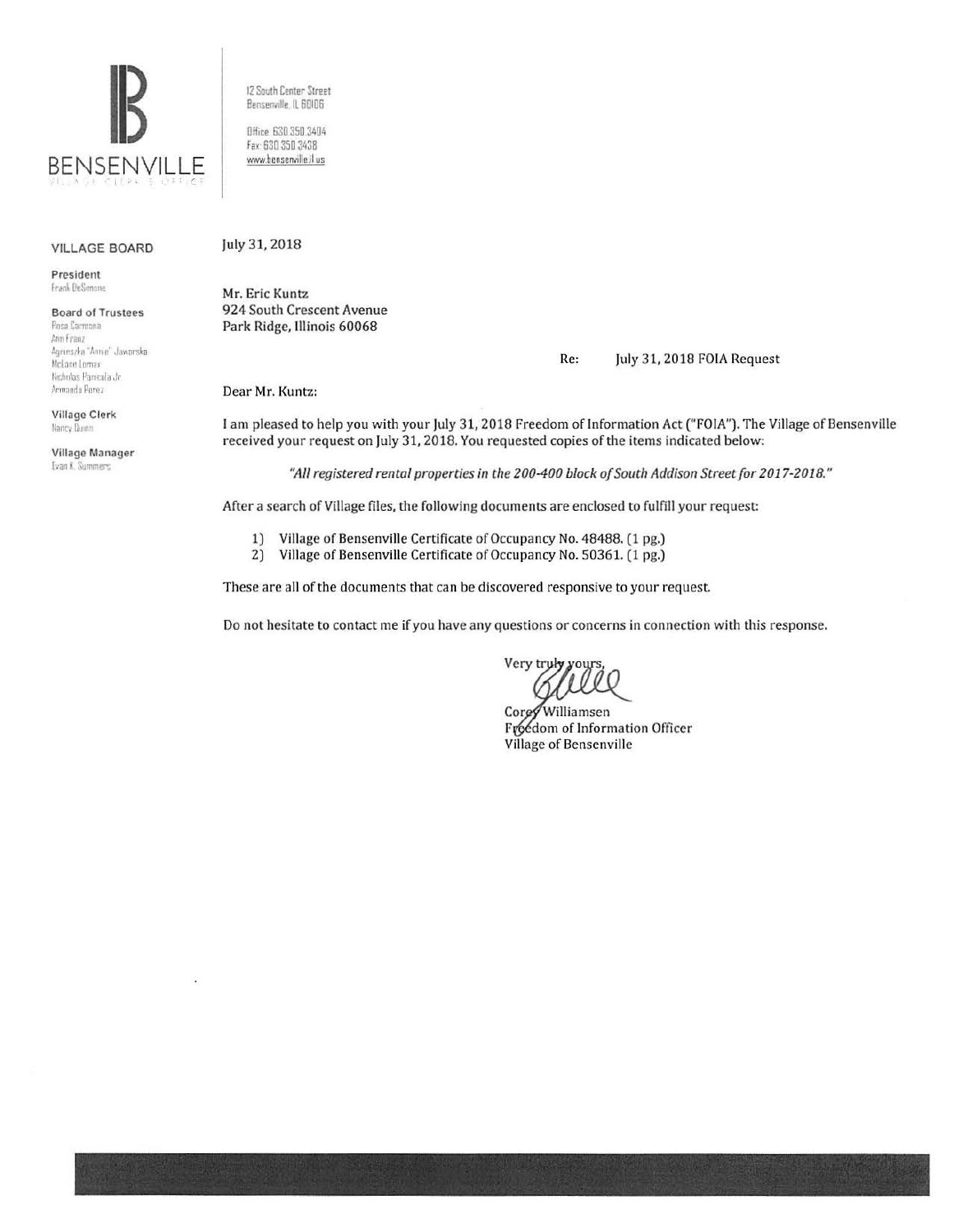

12 South Center Street Benserwille, IL 60I06 Office 630 350 3404

www.bensenville.il us

VILLAGE BOARD

President Frank DeSimone

**Board of Trustees**<br>**Bose Carmona** 

Arin Franz Agnies;ka "Annie" Jaworska *McLane Lomax* Nicholas Panicola Jr. Armando Perez

Village Clerk Nancy Dunn

Village Manager Ivan K. Summers

July 31, 2018

Mr. Eric Kuntz 924 South Crescent Avenue Park Ridge, Illinois 60068

Re: July 31, 2018 FOIA Request

Dear Mr. Kuntz:

I am pleased to help you with your July 31, 2018 Freedom of Information Act ("FOIA"). The Village of Bensenville received your request on July 31, 2018. You requested copies of the items indicated below:

*"All registered rental properties in the 200-400 block of South Addison Street for 2017-2018. "* 

After a search of Village files, the following documents are enclosed to fulfill your request:

- 1) Village of Bensenville Certificate of Occupancy No. 48488. (1 pg.)<br>2) Village of Bensenville Certificate of Occupancy No. 50361. (1 pg.)
- 2) Village of Bensenville Certificate of Occupancy No. 50361. (1 pg.)

These are all of the documents that can be discovered responsive to your request.

Do not hesitate to contact me if you have any questions or concerns in connection with this response.

Very truly your

Williamsen Corey Freedom of Information Officer Village of Bensenville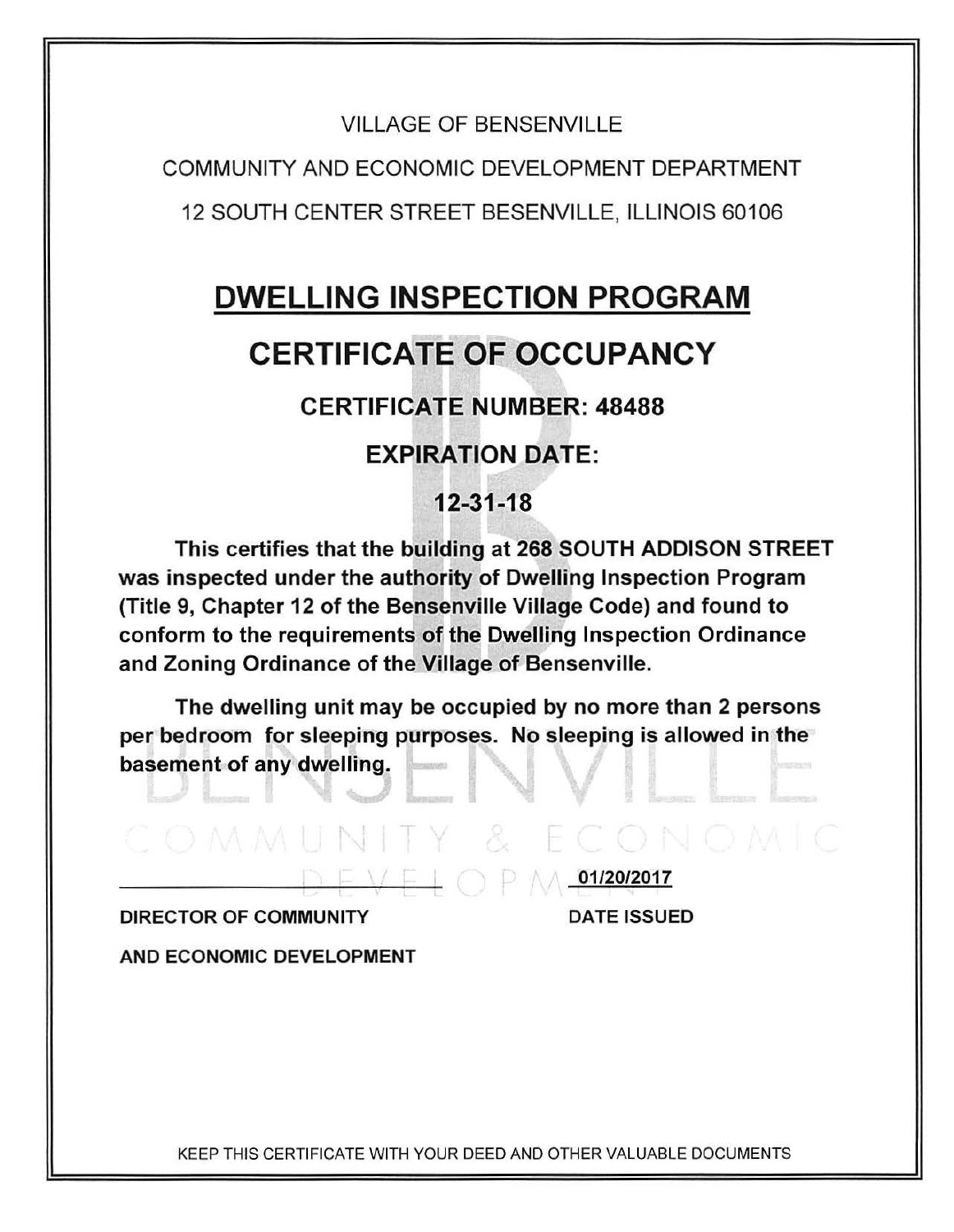## VILLAGE OF BENSENVILLE

COMMUNITY AND ECONOMIC DEVELOPMENT DEPARTMENT 12 SOUTH CENTER STREET BESENVILLE, ILLINOIS 601 06

## DWELLING INSPECTION PROGRAM

## **CERTIFICATE OF OCCUPANCY**

CERTIFICATE NUMBER: 48488

**EXPIRATION DATE:** 

12-31-18

This certifies that the building at 268 SOUTH ADDISON STREET was inspected under the authority of Dwelling Inspection Program (Title 9, Chapter 12 of the Bensenville Village Code) and found to conform to the requirements of the Dwelling Inspection Ordinance and Zoning Ordinance of the Village of Bensenville.

The dwelling unit may be occupied by no more than 2 persons per bedroom for sleeping purposes. No sleeping is allowed in the basement of any dwelling. musicas

COMMUNITY & ECONOMIC



 $\mathbb{P}$   $\mathbb{M}$  01/20/2017

DATE ISSUED

AND ECONOMIC DEVELOPMENT

KEEP THIS CERTIFICATE WITH YOUR DEED AND OTHER VALUABLE DOCUMENTS